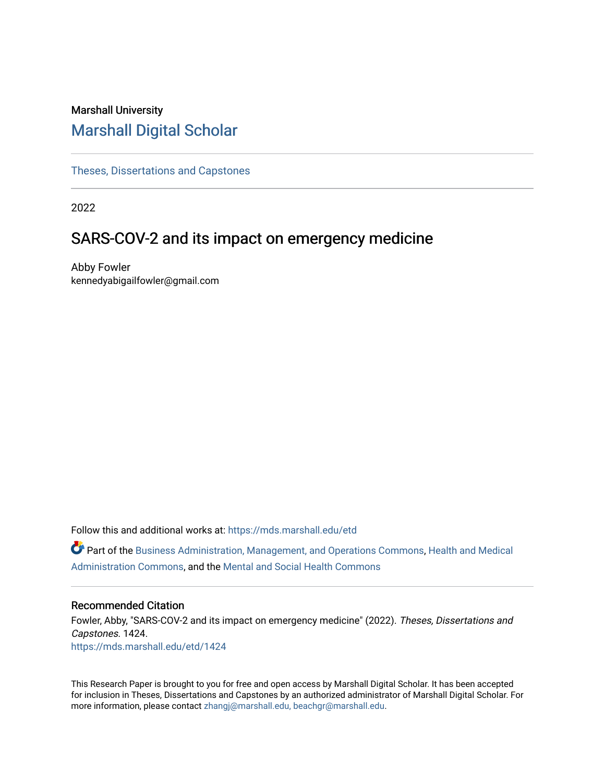# Marshall University [Marshall Digital Scholar](https://mds.marshall.edu/)

[Theses, Dissertations and Capstones](https://mds.marshall.edu/etd)

2022

# SARS-COV-2 and its impact on emergency medicine

Abby Fowler kennedyabigailfowler@gmail.com

Follow this and additional works at: [https://mds.marshall.edu/etd](https://mds.marshall.edu/etd?utm_source=mds.marshall.edu%2Fetd%2F1424&utm_medium=PDF&utm_campaign=PDFCoverPages)

Part of the [Business Administration, Management, and Operations Commons](https://network.bepress.com/hgg/discipline/623?utm_source=mds.marshall.edu%2Fetd%2F1424&utm_medium=PDF&utm_campaign=PDFCoverPages), [Health and Medical](https://network.bepress.com/hgg/discipline/663?utm_source=mds.marshall.edu%2Fetd%2F1424&utm_medium=PDF&utm_campaign=PDFCoverPages)  [Administration Commons,](https://network.bepress.com/hgg/discipline/663?utm_source=mds.marshall.edu%2Fetd%2F1424&utm_medium=PDF&utm_campaign=PDFCoverPages) and the [Mental and Social Health Commons](https://network.bepress.com/hgg/discipline/709?utm_source=mds.marshall.edu%2Fetd%2F1424&utm_medium=PDF&utm_campaign=PDFCoverPages)

## Recommended Citation

Fowler, Abby, "SARS-COV-2 and its impact on emergency medicine" (2022). Theses, Dissertations and Capstones. 1424. [https://mds.marshall.edu/etd/1424](https://mds.marshall.edu/etd/1424?utm_source=mds.marshall.edu%2Fetd%2F1424&utm_medium=PDF&utm_campaign=PDFCoverPages) 

This Research Paper is brought to you for free and open access by Marshall Digital Scholar. It has been accepted for inclusion in Theses, Dissertations and Capstones by an authorized administrator of Marshall Digital Scholar. For more information, please contact [zhangj@marshall.edu, beachgr@marshall.edu](mailto:zhangj@marshall.edu,%20beachgr@marshall.edu).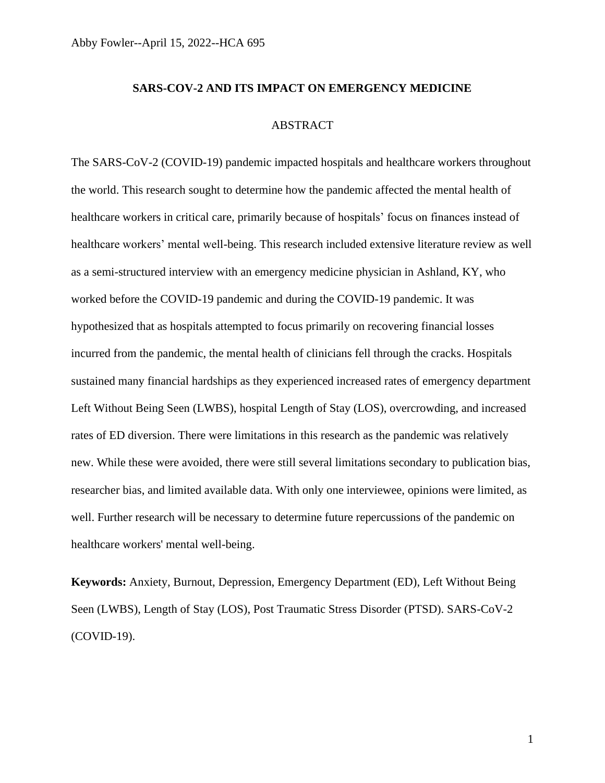## **SARS-COV-2 AND ITS IMPACT ON EMERGENCY MEDICINE**

# ABSTRACT

The SARS-CoV-2 (COVID-19) pandemic impacted hospitals and healthcare workers throughout the world. This research sought to determine how the pandemic affected the mental health of healthcare workers in critical care, primarily because of hospitals' focus on finances instead of healthcare workers' mental well-being. This research included extensive literature review as well as a semi-structured interview with an emergency medicine physician in Ashland, KY, who worked before the COVID-19 pandemic and during the COVID-19 pandemic. It was hypothesized that as hospitals attempted to focus primarily on recovering financial losses incurred from the pandemic, the mental health of clinicians fell through the cracks. Hospitals sustained many financial hardships as they experienced increased rates of emergency department Left Without Being Seen (LWBS), hospital Length of Stay (LOS), overcrowding, and increased rates of ED diversion. There were limitations in this research as the pandemic was relatively new. While these were avoided, there were still several limitations secondary to publication bias, researcher bias, and limited available data. With only one interviewee, opinions were limited, as well. Further research will be necessary to determine future repercussions of the pandemic on healthcare workers' mental well-being.

**Keywords:** Anxiety, Burnout, Depression, Emergency Department (ED), Left Without Being Seen (LWBS), Length of Stay (LOS), Post Traumatic Stress Disorder (PTSD). SARS-CoV-2 (COVID-19).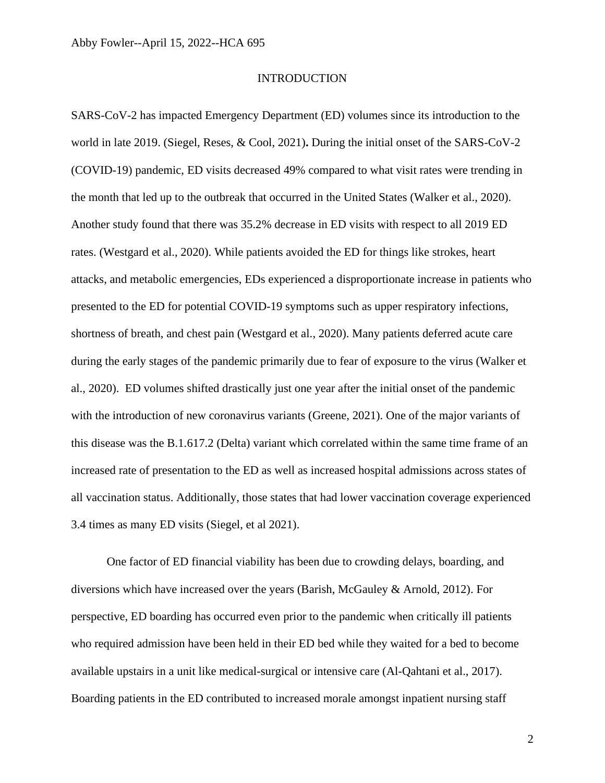#### **INTRODUCTION**

SARS-CoV-2 has impacted Emergency Department (ED) volumes since its introduction to the world in late 2019. (Siegel, Reses, & Cool, 2021)**.** During the initial onset of the SARS-CoV-2 (COVID-19) pandemic, ED visits decreased 49% compared to what visit rates were trending in the month that led up to the outbreak that occurred in the United States (Walker et al., 2020). Another study found that there was 35.2% decrease in ED visits with respect to all 2019 ED rates. (Westgard et al., 2020). While patients avoided the ED for things like strokes, heart attacks, and metabolic emergencies, EDs experienced a disproportionate increase in patients who presented to the ED for potential COVID-19 symptoms such as upper respiratory infections, shortness of breath, and chest pain (Westgard et al., 2020). Many patients deferred acute care during the early stages of the pandemic primarily due to fear of exposure to the virus (Walker et al., 2020). ED volumes shifted drastically just one year after the initial onset of the pandemic with the introduction of new coronavirus variants (Greene, 2021). One of the major variants of this disease was the B.1.617.2 (Delta) variant which correlated within the same time frame of an increased rate of presentation to the ED as well as increased hospital admissions across states of all vaccination status. Additionally, those states that had lower vaccination coverage experienced 3.4 times as many ED visits (Siegel, et al 2021).

One factor of ED financial viability has been due to crowding delays, boarding, and diversions which have increased over the years (Barish, McGauley & Arnold, 2012). For perspective, ED boarding has occurred even prior to the pandemic when critically ill patients who required admission have been held in their ED bed while they waited for a bed to become available upstairs in a unit like medical-surgical or intensive care (Al-Qahtani et al., 2017). Boarding patients in the ED contributed to increased morale amongst inpatient nursing staff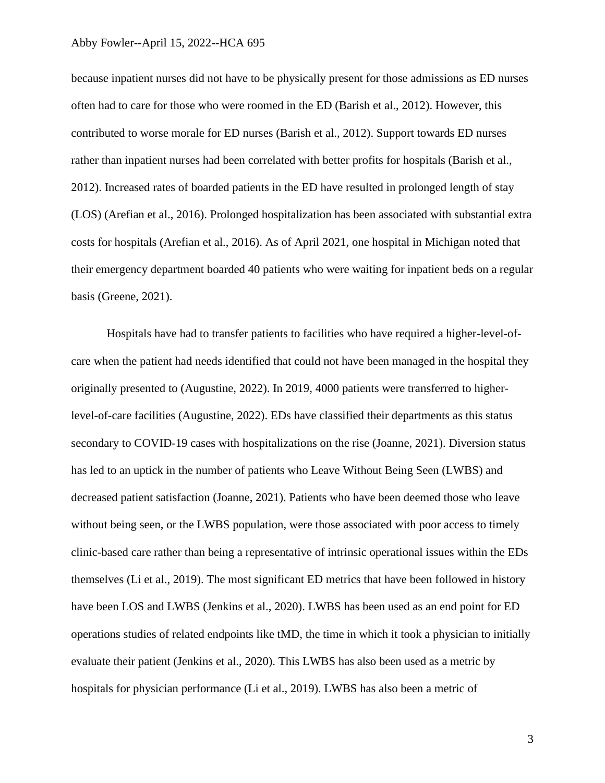because inpatient nurses did not have to be physically present for those admissions as ED nurses often had to care for those who were roomed in the ED (Barish et al., 2012). However, this contributed to worse morale for ED nurses (Barish et al., 2012). Support towards ED nurses rather than inpatient nurses had been correlated with better profits for hospitals (Barish et al., 2012). Increased rates of boarded patients in the ED have resulted in prolonged length of stay (LOS) (Arefian et al., 2016). Prolonged hospitalization has been associated with substantial extra costs for hospitals (Arefian et al., 2016). As of April 2021, one hospital in Michigan noted that their emergency department boarded 40 patients who were waiting for inpatient beds on a regular basis (Greene, 2021).

Hospitals have had to transfer patients to facilities who have required a higher-level-ofcare when the patient had needs identified that could not have been managed in the hospital they originally presented to (Augustine, 2022). In 2019, 4000 patients were transferred to higherlevel-of-care facilities (Augustine, 2022). EDs have classified their departments as this status secondary to COVID-19 cases with hospitalizations on the rise (Joanne, 2021). Diversion status has led to an uptick in the number of patients who Leave Without Being Seen (LWBS) and decreased patient satisfaction (Joanne, 2021). Patients who have been deemed those who leave without being seen, or the LWBS population, were those associated with poor access to timely clinic-based care rather than being a representative of intrinsic operational issues within the EDs themselves (Li et al., 2019). The most significant ED metrics that have been followed in history have been LOS and LWBS (Jenkins et al., 2020). LWBS has been used as an end point for ED operations studies of related endpoints like tMD, the time in which it took a physician to initially evaluate their patient (Jenkins et al., 2020). This LWBS has also been used as a metric by hospitals for physician performance (Li et al., 2019). LWBS has also been a metric of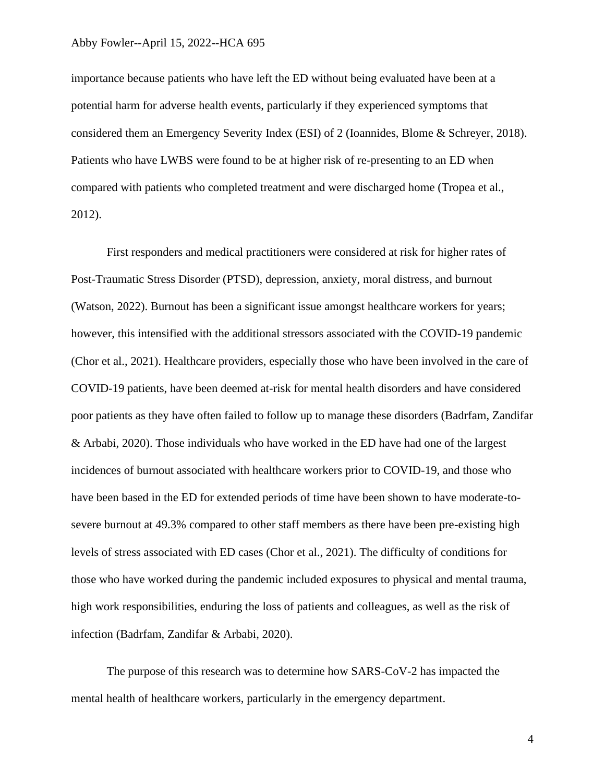importance because patients who have left the ED without being evaluated have been at a potential harm for adverse health events, particularly if they experienced symptoms that considered them an Emergency Severity Index (ESI) of 2 (Ioannides, Blome & Schreyer, 2018). Patients who have LWBS were found to be at higher risk of re-presenting to an ED when compared with patients who completed treatment and were discharged home (Tropea et al., 2012).

First responders and medical practitioners were considered at risk for higher rates of Post-Traumatic Stress Disorder (PTSD), depression, anxiety, moral distress, and burnout (Watson, 2022). Burnout has been a significant issue amongst healthcare workers for years; however, this intensified with the additional stressors associated with the COVID-19 pandemic (Chor et al., 2021). Healthcare providers, especially those who have been involved in the care of COVID-19 patients, have been deemed at-risk for mental health disorders and have considered poor patients as they have often failed to follow up to manage these disorders (Badrfam, Zandifar & Arbabi, 2020). Those individuals who have worked in the ED have had one of the largest incidences of burnout associated with healthcare workers prior to COVID-19, and those who have been based in the ED for extended periods of time have been shown to have moderate-tosevere burnout at 49.3% compared to other staff members as there have been pre-existing high levels of stress associated with ED cases (Chor et al., 2021). The difficulty of conditions for those who have worked during the pandemic included exposures to physical and mental trauma, high work responsibilities, enduring the loss of patients and colleagues, as well as the risk of infection (Badrfam, Zandifar & Arbabi, 2020).

The purpose of this research was to determine how SARS-CoV-2 has impacted the mental health of healthcare workers, particularly in the emergency department.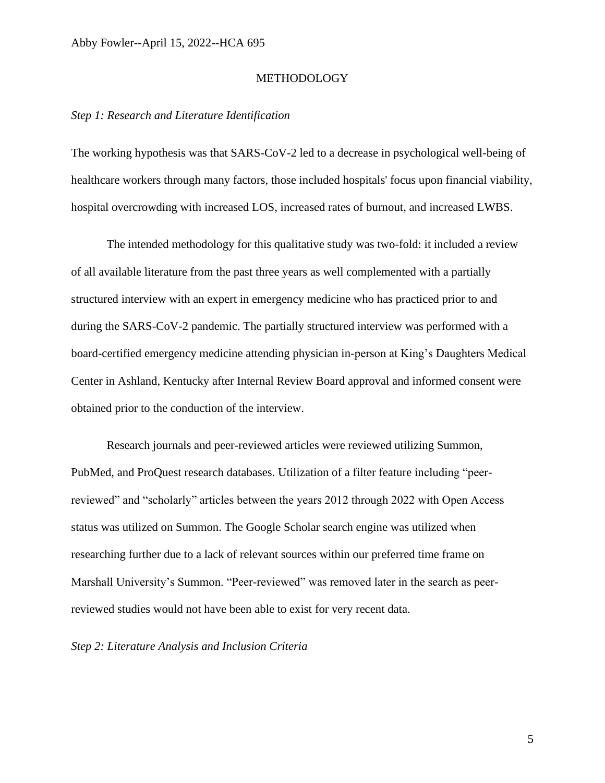## METHODOLOGY

## *Step 1: Research and Literature Identification*

The working hypothesis was that SARS-CoV-2 led to a decrease in psychological well-being of healthcare workers through many factors, those included hospitals' focus upon financial viability, hospital overcrowding with increased LOS, increased rates of burnout, and increased LWBS.

The intended methodology for this qualitative study was two-fold: it included a review of all available literature from the past three years as well complemented with a partially structured interview with an expert in emergency medicine who has practiced prior to and during the SARS-CoV-2 pandemic. The partially structured interview was performed with a board-certified emergency medicine attending physician in-person at King's Daughters Medical Center in Ashland, Kentucky after Internal Review Board approval and informed consent were obtained prior to the conduction of the interview.

Research journals and peer-reviewed articles were reviewed utilizing Summon, PubMed, and ProQuest research databases. Utilization of a filter feature including "peerreviewed" and "scholarly" articles between the years 2012 through 2022 with Open Access status was utilized on Summon. The Google Scholar search engine was utilized when researching further due to a lack of relevant sources within our preferred time frame on Marshall University's Summon. "Peer-reviewed" was removed later in the search as peerreviewed studies would not have been able to exist for very recent data.

*Step 2: Literature Analysis and Inclusion Criteria*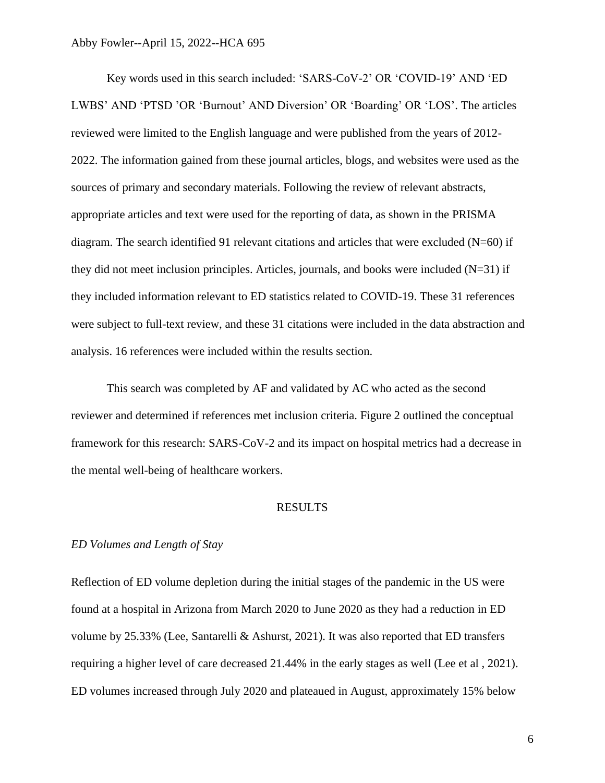Key words used in this search included: 'SARS-CoV-2' OR 'COVID-19' AND 'ED LWBS' AND 'PTSD 'OR 'Burnout' AND Diversion' OR 'Boarding' OR 'LOS'. The articles reviewed were limited to the English language and were published from the years of 2012- 2022. The information gained from these journal articles, blogs, and websites were used as the sources of primary and secondary materials. Following the review of relevant abstracts, appropriate articles and text were used for the reporting of data, as shown in the PRISMA diagram. The search identified 91 relevant citations and articles that were excluded  $(N=60)$  if they did not meet inclusion principles. Articles, journals, and books were included  $(N=31)$  if they included information relevant to ED statistics related to COVID-19. These 31 references were subject to full-text review, and these 31 citations were included in the data abstraction and analysis. 16 references were included within the results section.

This search was completed by AF and validated by AC who acted as the second reviewer and determined if references met inclusion criteria. Figure 2 outlined the conceptual framework for this research: SARS-CoV-2 and its impact on hospital metrics had a decrease in the mental well-being of healthcare workers.

# RESULTS

# *ED Volumes and Length of Stay*

Reflection of ED volume depletion during the initial stages of the pandemic in the US were found at a hospital in Arizona from March 2020 to June 2020 as they had a reduction in ED volume by 25.33% (Lee, Santarelli & Ashurst, 2021). It was also reported that ED transfers requiring a higher level of care decreased 21.44% in the early stages as well (Lee et al , 2021). ED volumes increased through July 2020 and plateaued in August, approximately 15% below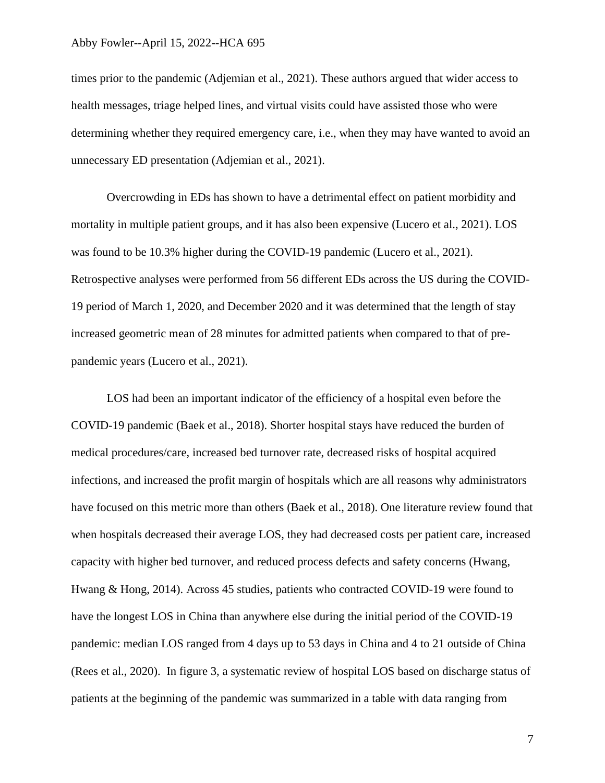times prior to the pandemic (Adjemian et al., 2021). These authors argued that wider access to health messages, triage helped lines, and virtual visits could have assisted those who were determining whether they required emergency care, i.e., when they may have wanted to avoid an unnecessary ED presentation (Adjemian et al., 2021).

Overcrowding in EDs has shown to have a detrimental effect on patient morbidity and mortality in multiple patient groups, and it has also been expensive (Lucero et al., 2021). LOS was found to be 10.3% higher during the COVID-19 pandemic (Lucero et al., 2021). Retrospective analyses were performed from 56 different EDs across the US during the COVID-19 period of March 1, 2020, and December 2020 and it was determined that the length of stay increased geometric mean of 28 minutes for admitted patients when compared to that of prepandemic years (Lucero et al., 2021).

LOS had been an important indicator of the efficiency of a hospital even before the COVID-19 pandemic (Baek et al., 2018). Shorter hospital stays have reduced the burden of medical procedures/care, increased bed turnover rate, decreased risks of hospital acquired infections, and increased the profit margin of hospitals which are all reasons why administrators have focused on this metric more than others (Baek et al., 2018). One literature review found that when hospitals decreased their average LOS, they had decreased costs per patient care, increased capacity with higher bed turnover, and reduced process defects and safety concerns (Hwang, Hwang & Hong, 2014). Across 45 studies, patients who contracted COVID-19 were found to have the longest LOS in China than anywhere else during the initial period of the COVID-19 pandemic: median LOS ranged from 4 days up to 53 days in China and 4 to 21 outside of China (Rees et al., 2020). In figure 3, a systematic review of hospital LOS based on discharge status of patients at the beginning of the pandemic was summarized in a table with data ranging from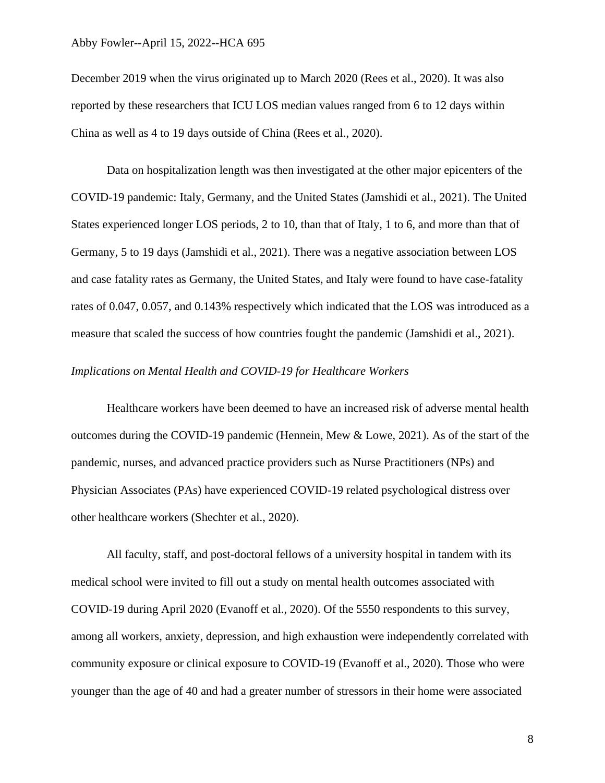December 2019 when the virus originated up to March 2020 (Rees et al., 2020). It was also reported by these researchers that ICU LOS median values ranged from 6 to 12 days within China as well as 4 to 19 days outside of China (Rees et al., 2020).

Data on hospitalization length was then investigated at the other major epicenters of the COVID-19 pandemic: Italy, Germany, and the United States (Jamshidi et al., 2021). The United States experienced longer LOS periods, 2 to 10, than that of Italy, 1 to 6, and more than that of Germany, 5 to 19 days (Jamshidi et al., 2021). There was a negative association between LOS and case fatality rates as Germany, the United States, and Italy were found to have case-fatality rates of 0.047, 0.057, and 0.143% respectively which indicated that the LOS was introduced as a measure that scaled the success of how countries fought the pandemic (Jamshidi et al., 2021).

## *Implications on Mental Health and COVID-19 for Healthcare Workers*

Healthcare workers have been deemed to have an increased risk of adverse mental health outcomes during the COVID-19 pandemic (Hennein, Mew & Lowe, 2021). As of the start of the pandemic, nurses, and advanced practice providers such as Nurse Practitioners (NPs) and Physician Associates (PAs) have experienced COVID-19 related psychological distress over other healthcare workers (Shechter et al., 2020).

All faculty, staff, and post-doctoral fellows of a university hospital in tandem with its medical school were invited to fill out a study on mental health outcomes associated with COVID-19 during April 2020 (Evanoff et al., 2020). Of the 5550 respondents to this survey, among all workers, anxiety, depression, and high exhaustion were independently correlated with community exposure or clinical exposure to COVID-19 (Evanoff et al., 2020). Those who were younger than the age of 40 and had a greater number of stressors in their home were associated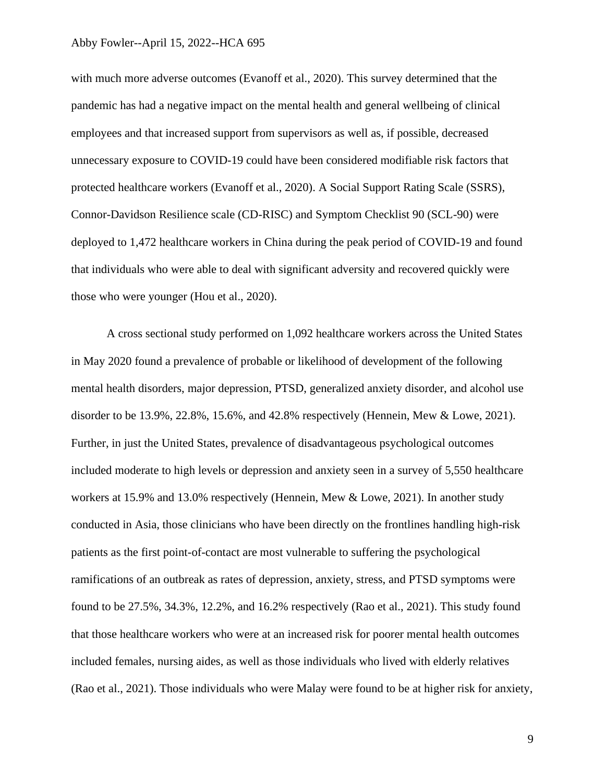with much more adverse outcomes (Evanoff et al., 2020). This survey determined that the pandemic has had a negative impact on the mental health and general wellbeing of clinical employees and that increased support from supervisors as well as, if possible, decreased unnecessary exposure to COVID-19 could have been considered modifiable risk factors that protected healthcare workers (Evanoff et al., 2020). A Social Support Rating Scale (SSRS), Connor-Davidson Resilience scale (CD-RISC) and Symptom Checklist 90 (SCL-90) were deployed to 1,472 healthcare workers in China during the peak period of COVID-19 and found that individuals who were able to deal with significant adversity and recovered quickly were those who were younger (Hou et al., 2020).

A cross sectional study performed on 1,092 healthcare workers across the United States in May 2020 found a prevalence of probable or likelihood of development of the following mental health disorders, major depression, PTSD, generalized anxiety disorder, and alcohol use disorder to be 13.9%, 22.8%, 15.6%, and 42.8% respectively (Hennein, Mew & Lowe, 2021). Further, in just the United States, prevalence of disadvantageous psychological outcomes included moderate to high levels or depression and anxiety seen in a survey of 5,550 healthcare workers at 15.9% and 13.0% respectively (Hennein, Mew & Lowe, 2021). In another study conducted in Asia, those clinicians who have been directly on the frontlines handling high-risk patients as the first point-of-contact are most vulnerable to suffering the psychological ramifications of an outbreak as rates of depression, anxiety, stress, and PTSD symptoms were found to be 27.5%, 34.3%, 12.2%, and 16.2% respectively (Rao et al., 2021). This study found that those healthcare workers who were at an increased risk for poorer mental health outcomes included females, nursing aides, as well as those individuals who lived with elderly relatives (Rao et al., 2021). Those individuals who were Malay were found to be at higher risk for anxiety,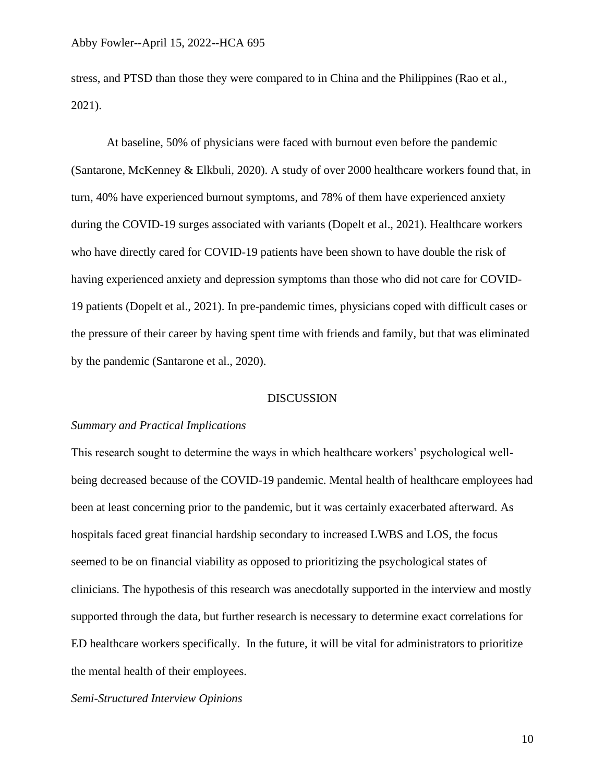stress, and PTSD than those they were compared to in China and the Philippines (Rao et al., 2021).

At baseline, 50% of physicians were faced with burnout even before the pandemic (Santarone, McKenney & Elkbuli, 2020). A study of over 2000 healthcare workers found that, in turn, 40% have experienced burnout symptoms, and 78% of them have experienced anxiety during the COVID-19 surges associated with variants (Dopelt et al., 2021). Healthcare workers who have directly cared for COVID-19 patients have been shown to have double the risk of having experienced anxiety and depression symptoms than those who did not care for COVID-19 patients (Dopelt et al., 2021). In pre-pandemic times, physicians coped with difficult cases or the pressure of their career by having spent time with friends and family, but that was eliminated by the pandemic (Santarone et al., 2020).

# DISCUSSION

## *Summary and Practical Implications*

This research sought to determine the ways in which healthcare workers' psychological wellbeing decreased because of the COVID-19 pandemic. Mental health of healthcare employees had been at least concerning prior to the pandemic, but it was certainly exacerbated afterward. As hospitals faced great financial hardship secondary to increased LWBS and LOS, the focus seemed to be on financial viability as opposed to prioritizing the psychological states of clinicians. The hypothesis of this research was anecdotally supported in the interview and mostly supported through the data, but further research is necessary to determine exact correlations for ED healthcare workers specifically. In the future, it will be vital for administrators to prioritize the mental health of their employees.

*Semi-Structured Interview Opinions*